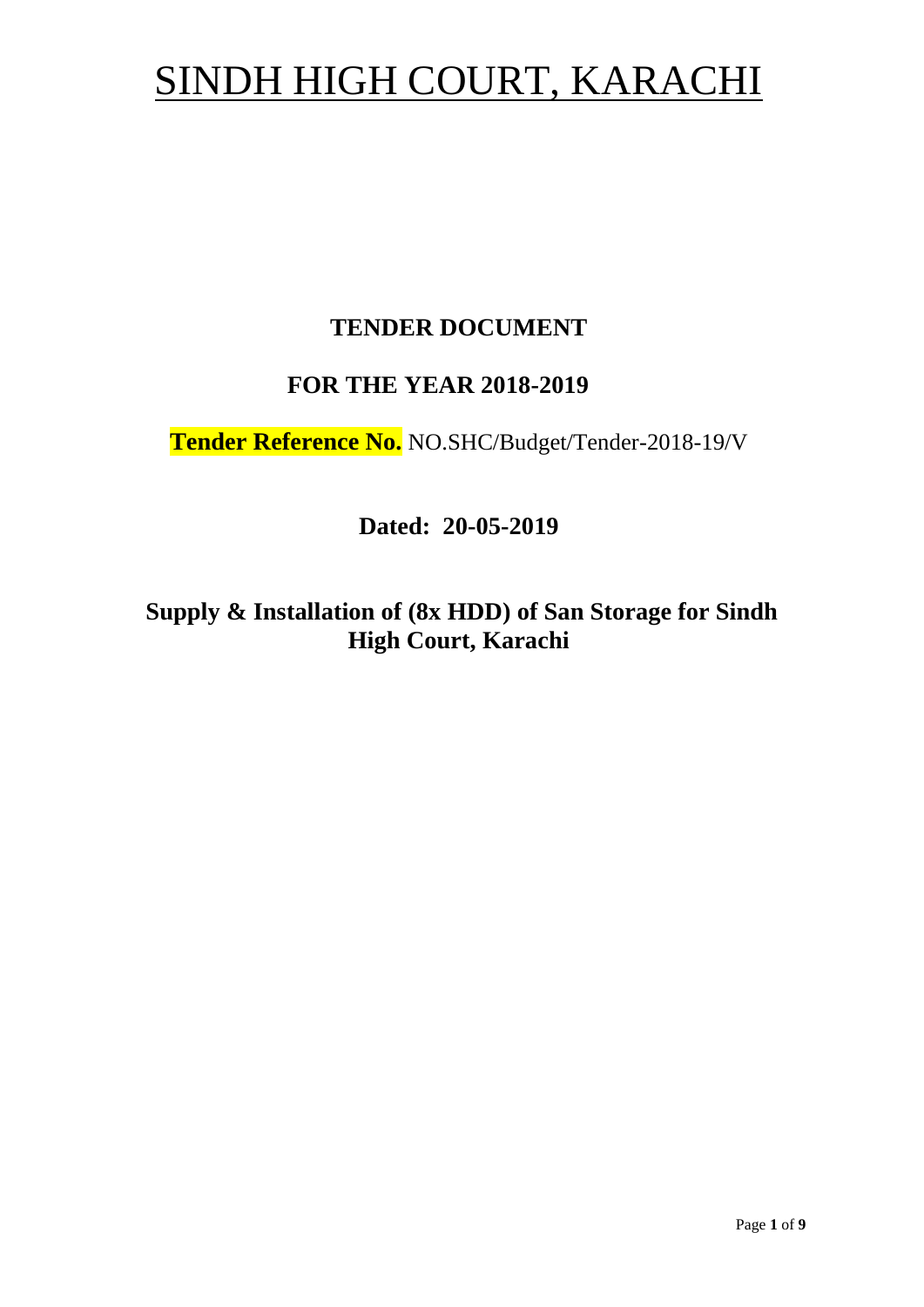# SINDH HIGH COURT, KARACHI

# **TENDER DOCUMENT**

# **FOR THE YEAR 2018-2019**

**Tender Reference No.** NO.SHC/Budget/Tender-2018-19/V

**Dated: 20-05-2019**

**Supply & Installation of (8x HDD) of San Storage for Sindh High Court, Karachi**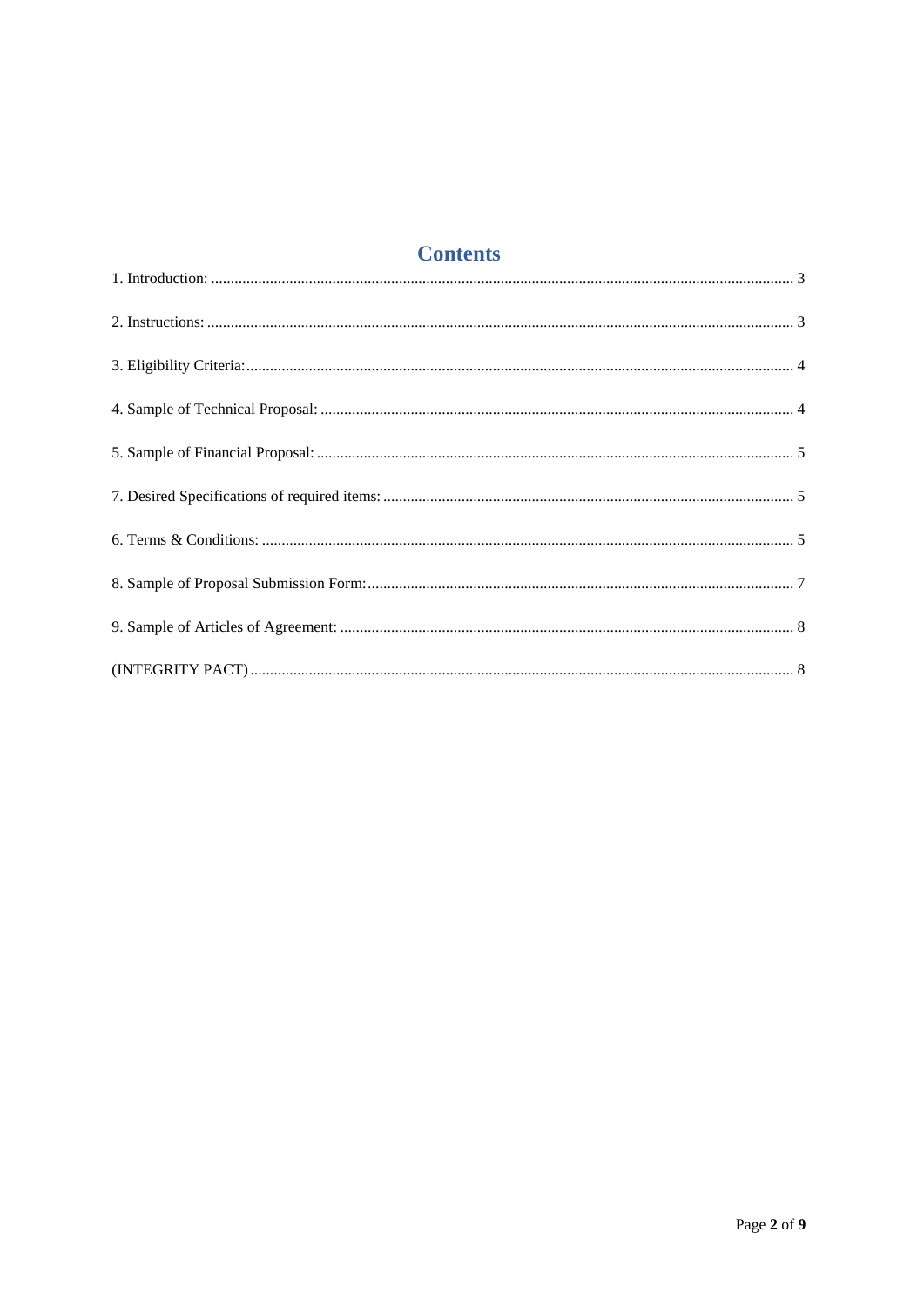# **Contents**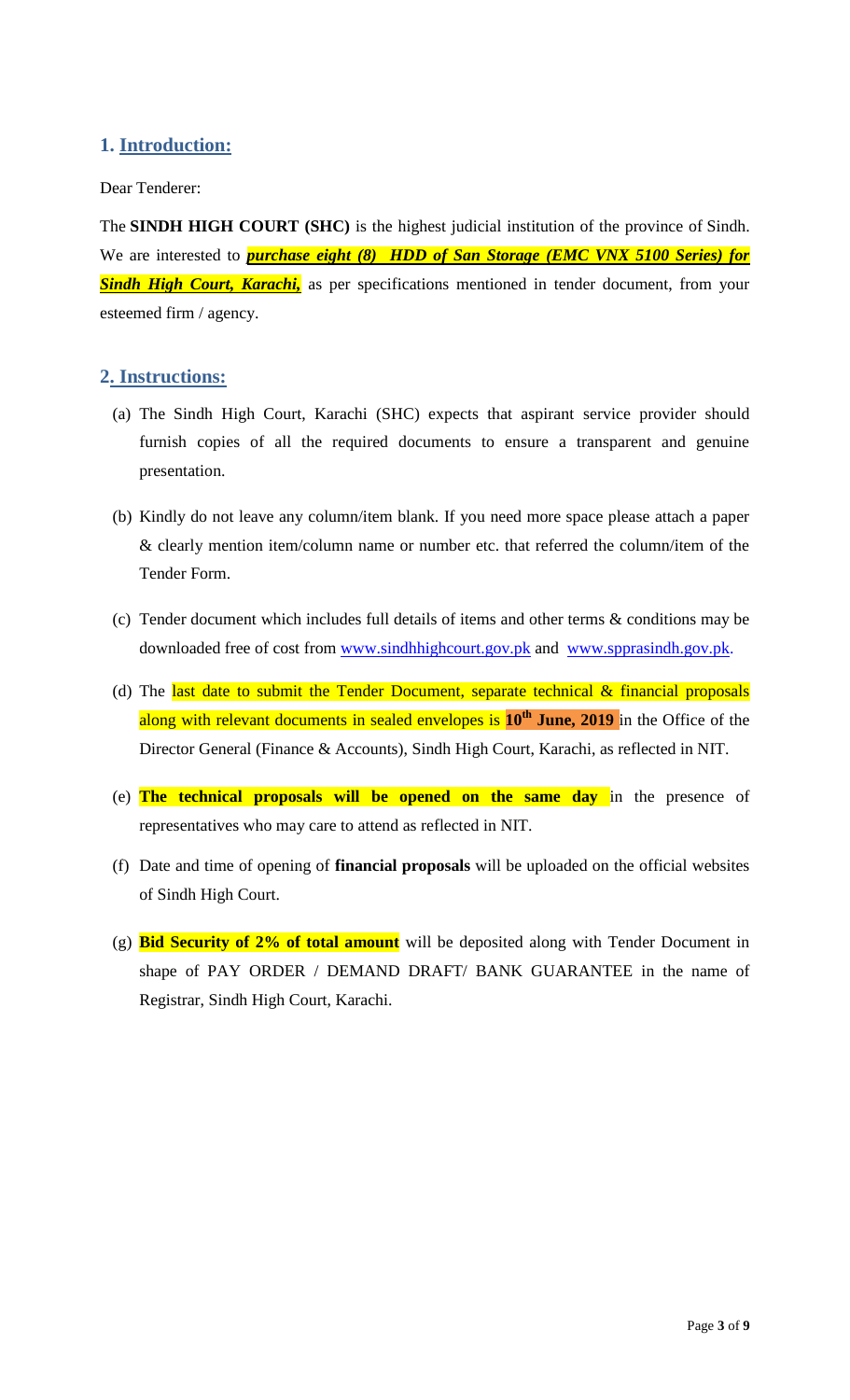# <span id="page-2-1"></span><span id="page-2-0"></span>**1. Introduction:**

#### Dear Tenderer:

The **SINDH HIGH COURT (SHC)** is the highest judicial institution of the province of [Sindh.](https://en.wikipedia.org/wiki/Sindh) We are interested to *purchase eight (8) HDD of San Storage (EMC VNX 5100 Series) for*  **Sindh High Court, Karachi**, as per specifications mentioned in tender document, from your esteemed firm / agency.

#### **2. Instructions:**

- (a) The Sindh High Court, Karachi (SHC) expects that aspirant service provider should furnish copies of all the required documents to ensure a transparent and genuine presentation.
- (b) Kindly do not leave any column/item blank. If you need more space please attach a paper & clearly mention item/column name or number etc. that referred the column/item of the Tender Form.
- (c) Tender document which includes full details of items and other terms & conditions may be downloaded free of cost from [www.sindhhighcourt.gov.pk](http://www.sindhhighcourt.gov.pk/) and [www.spprasindh.gov.pk.](http://www.spprasindh.gov.pk/)
- (d) The last date to submit the Tender Document, separate technical  $\&$  financial proposals along with relevant documents in sealed envelopes is  $10^{\text{th}}$  June, 2019 in the Office of the Director General (Finance & Accounts), Sindh High Court, Karachi, as reflected in NIT.
- (e) **The technical proposals will be opened on the same day** in the presence of representatives who may care to attend as reflected in NIT.
- (f) Date and time of opening of **financial proposals** will be uploaded on the official websites of Sindh High Court.
- (g) **Bid Security of 2% of total amount** will be deposited along with Tender Document in shape of PAY ORDER / DEMAND DRAFT/ BANK GUARANTEE in the name of Registrar, Sindh High Court, Karachi.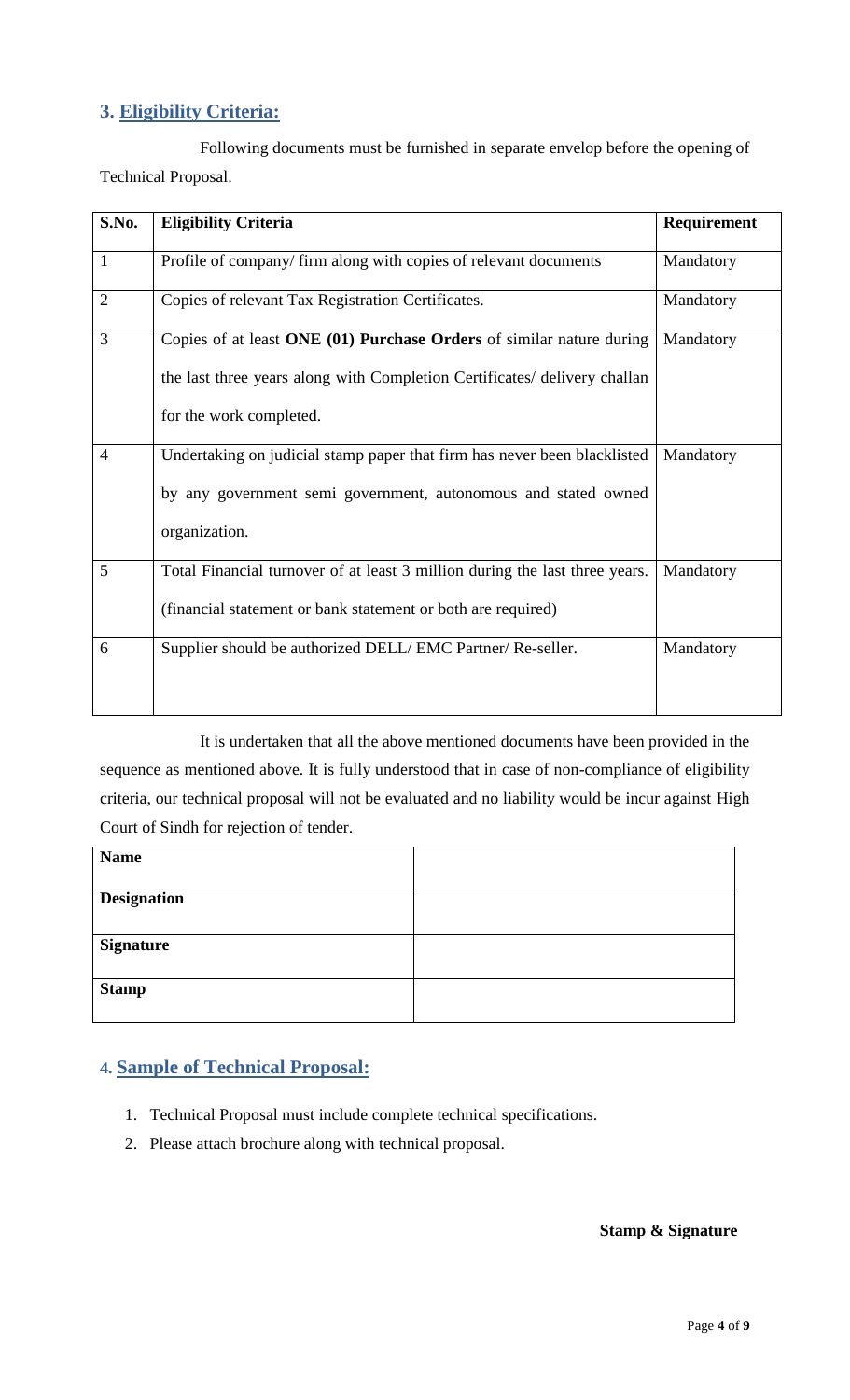# <span id="page-3-0"></span>**3. Eligibility Criteria:**

Following documents must be furnished in separate envelop before the opening of Technical Proposal.

| S.No.          | <b>Eligibility Criteria</b>                                                                                                                                                  | <b>Requirement</b> |
|----------------|------------------------------------------------------------------------------------------------------------------------------------------------------------------------------|--------------------|
| $\mathbf{1}$   | Profile of company/ firm along with copies of relevant documents                                                                                                             | Mandatory          |
| $\overline{2}$ | Copies of relevant Tax Registration Certificates.                                                                                                                            | Mandatory          |
| 3              | Copies of at least ONE (01) Purchase Orders of similar nature during<br>the last three years along with Completion Certificates/ delivery challan<br>for the work completed. | Mandatory          |
| $\overline{4}$ | Undertaking on judicial stamp paper that firm has never been blacklisted<br>by any government semi government, autonomous and stated owned<br>organization.                  | Mandatory          |
| 5              | Total Financial turnover of at least 3 million during the last three years.<br>(financial statement or bank statement or both are required)                                  | Mandatory          |
| 6              | Supplier should be authorized DELL/EMC Partner/Re-seller.                                                                                                                    | Mandatory          |

It is undertaken that all the above mentioned documents have been provided in the sequence as mentioned above. It is fully understood that in case of non-compliance of eligibility criteria, our technical proposal will not be evaluated and no liability would be incur against High Court of Sindh for rejection of tender.

<span id="page-3-1"></span>

| <b>Name</b>        |  |
|--------------------|--|
| <b>Designation</b> |  |
| <b>Signature</b>   |  |
| <b>Stamp</b>       |  |

# **4. Sample of Technical Proposal:**

- 1. Technical Proposal must include complete technical specifications.
- 2. Please attach brochure along with technical proposal.

#### **Stamp & Signature**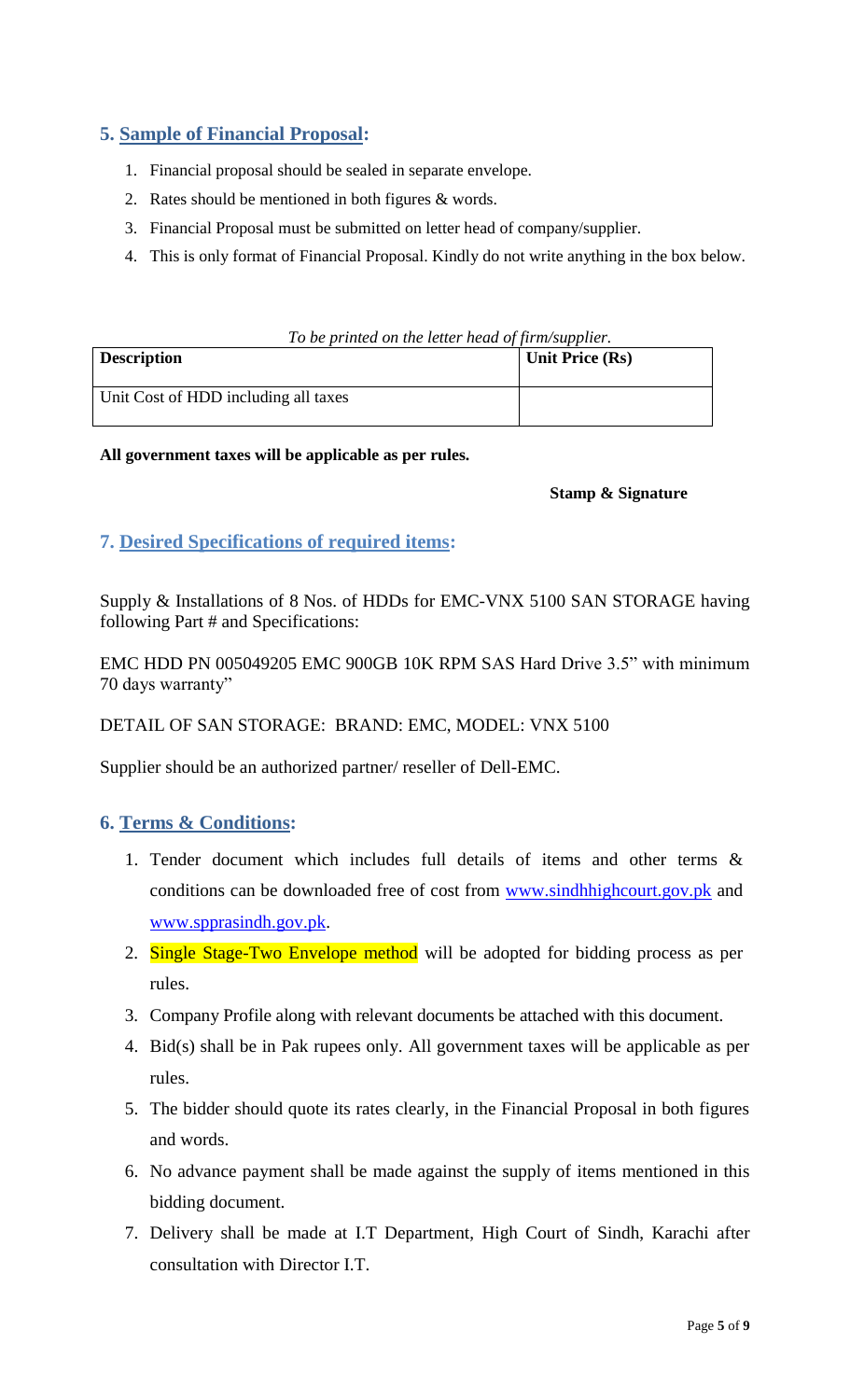## <span id="page-4-0"></span>**5. Sample of Financial Proposal:**

- 1. Financial proposal should be sealed in separate envelope.
- 2. Rates should be mentioned in both figures & words.
- 3. Financial Proposal must be submitted on letter head of company/supplier.
- 4. This is only format of Financial Proposal. Kindly do not write anything in the box below.

|  | To be printed on the letter head of firm/supplier. |  |  |  |  |
|--|----------------------------------------------------|--|--|--|--|
|  |                                                    |  |  |  |  |

<span id="page-4-1"></span>

| <b>Description</b>                   | <b>Unit Price (Rs)</b> |
|--------------------------------------|------------------------|
| Unit Cost of HDD including all taxes |                        |

**All government taxes will be applicable as per rules.**

#### **Stamp & Signature**

# <span id="page-4-2"></span>**7. Desired Specifications of required items:**

Supply & Installations of 8 Nos. of HDDs for EMC-VNX 5100 SAN STORAGE having following Part # and Specifications:

EMC HDD PN 005049205 EMC 900GB 10K RPM SAS Hard Drive 3.5" with minimum 70 days warranty"

#### DETAIL OF SAN STORAGE: BRAND: EMC, MODEL: VNX 5100

Supplier should be an authorized partner/ reseller of Dell-EMC.

## **6. Terms & Conditions:**

- 1. Tender document which includes full details of items and other terms & conditions can be downloaded free of cost from [www.sindhhighcourt.gov.pk](http://www.sindhhighcourt.gov.pk/) and [www.spprasindh.gov.pk.](http://www.spprasindh.gov.pk/)
- 2. Single Stage-Two Envelope method will be adopted for bidding process as per rules.
- 3. Company Profile along with relevant documents be attached with this document.
- 4. Bid(s) shall be in Pak rupees only. All government taxes will be applicable as per rules.
- 5. The bidder should quote its rates clearly, in the Financial Proposal in both figures and words.
- 6. No advance payment shall be made against the supply of items mentioned in this bidding document.
- 7. Delivery shall be made at I.T Department, High Court of Sindh, Karachi after consultation with Director I.T.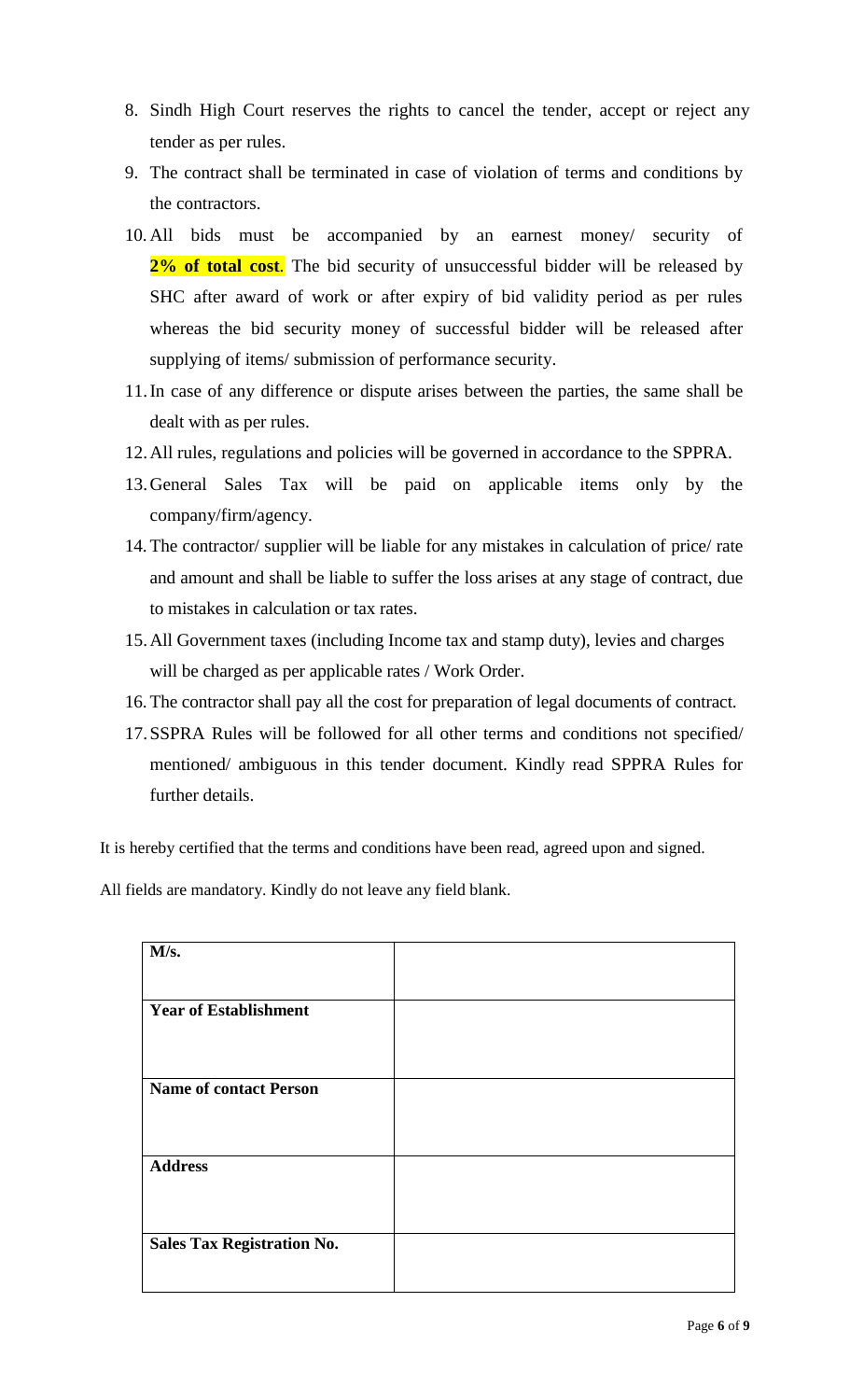- 8. Sindh High Court reserves the rights to cancel the tender, accept or reject any tender as per rules.
- 9. The contract shall be terminated in case of violation of terms and conditions by the contractors.
- 10. All bids must be accompanied by an earnest money/ security of 2% of total cost. The bid security of unsuccessful bidder will be released by SHC after award of work or after expiry of bid validity period as per rules whereas the bid security money of successful bidder will be released after supplying of items/ submission of performance security.
- 11.In case of any difference or dispute arises between the parties, the same shall be dealt with as per rules.
- 12.All rules, regulations and policies will be governed in accordance to the SPPRA.
- 13.General Sales Tax will be paid on applicable items only by the company/firm/agency.
- 14. The contractor/ supplier will be liable for any mistakes in calculation of price/ rate and amount and shall be liable to suffer the loss arises at any stage of contract, due to mistakes in calculation or tax rates.
- 15.All Government taxes (including Income tax and stamp duty), levies and charges will be charged as per applicable rates / Work Order.
- 16. The contractor shall pay all the cost for preparation of legal documents of contract.
- 17.SSPRA Rules will be followed for all other terms and conditions not specified/ mentioned/ ambiguous in this tender document. Kindly read SPPRA Rules for further details.

It is hereby certified that the terms and conditions have been read, agreed upon and signed.

All fields are mandatory. Kindly do not leave any field blank.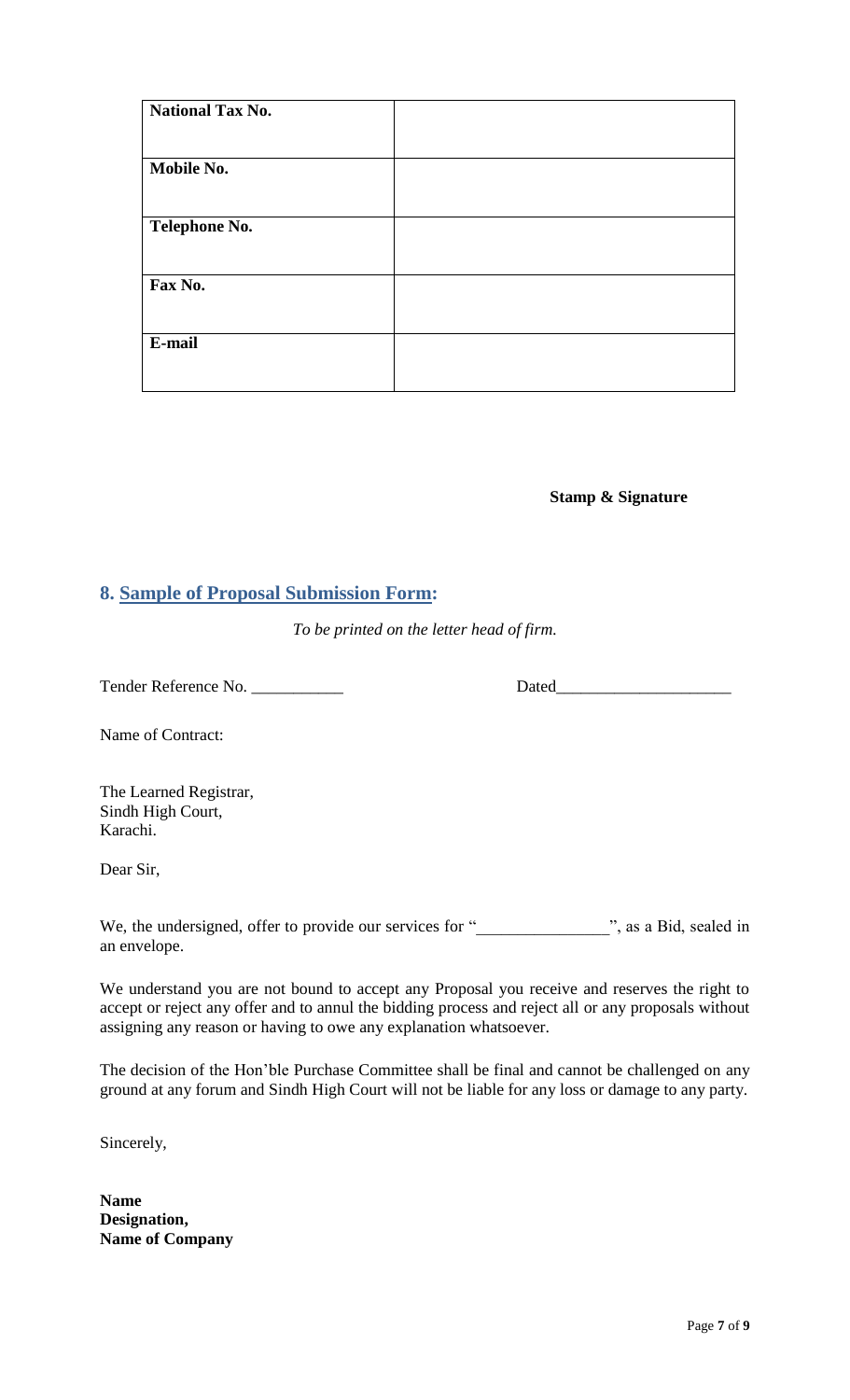| <b>National Tax No.</b> |  |
|-------------------------|--|
|                         |  |
|                         |  |
| Mobile No.              |  |
|                         |  |
|                         |  |
| <b>Telephone No.</b>    |  |
|                         |  |
|                         |  |
| Fax No.                 |  |
|                         |  |
|                         |  |
| E-mail                  |  |
|                         |  |
|                         |  |

**Stamp & Signature**

# <span id="page-6-0"></span>**8. Sample of Proposal Submission Form:**

*To be printed on the letter head of firm.*

Tender Reference No. \_\_\_\_\_\_\_\_\_\_\_ Dated\_\_\_\_\_\_\_\_\_\_\_\_\_\_\_\_\_\_\_\_\_

Name of Contract:

The Learned Registrar, Sindh High Court, Karachi.

Dear Sir,

We, the undersigned, offer to provide our services for "\_\_\_\_\_\_\_\_\_\_\_\_\_\_\_\_\_\_\_\_\_\_", as a Bid, sealed in an envelope.

We understand you are not bound to accept any Proposal you receive and reserves the right to accept or reject any offer and to annul the bidding process and reject all or any proposals without assigning any reason or having to owe any explanation whatsoever.

The decision of the Hon"ble Purchase Committee shall be final and cannot be challenged on any ground at any forum and Sindh High Court will not be liable for any loss or damage to any party.

Sincerely,

**Name Designation, Name of Company**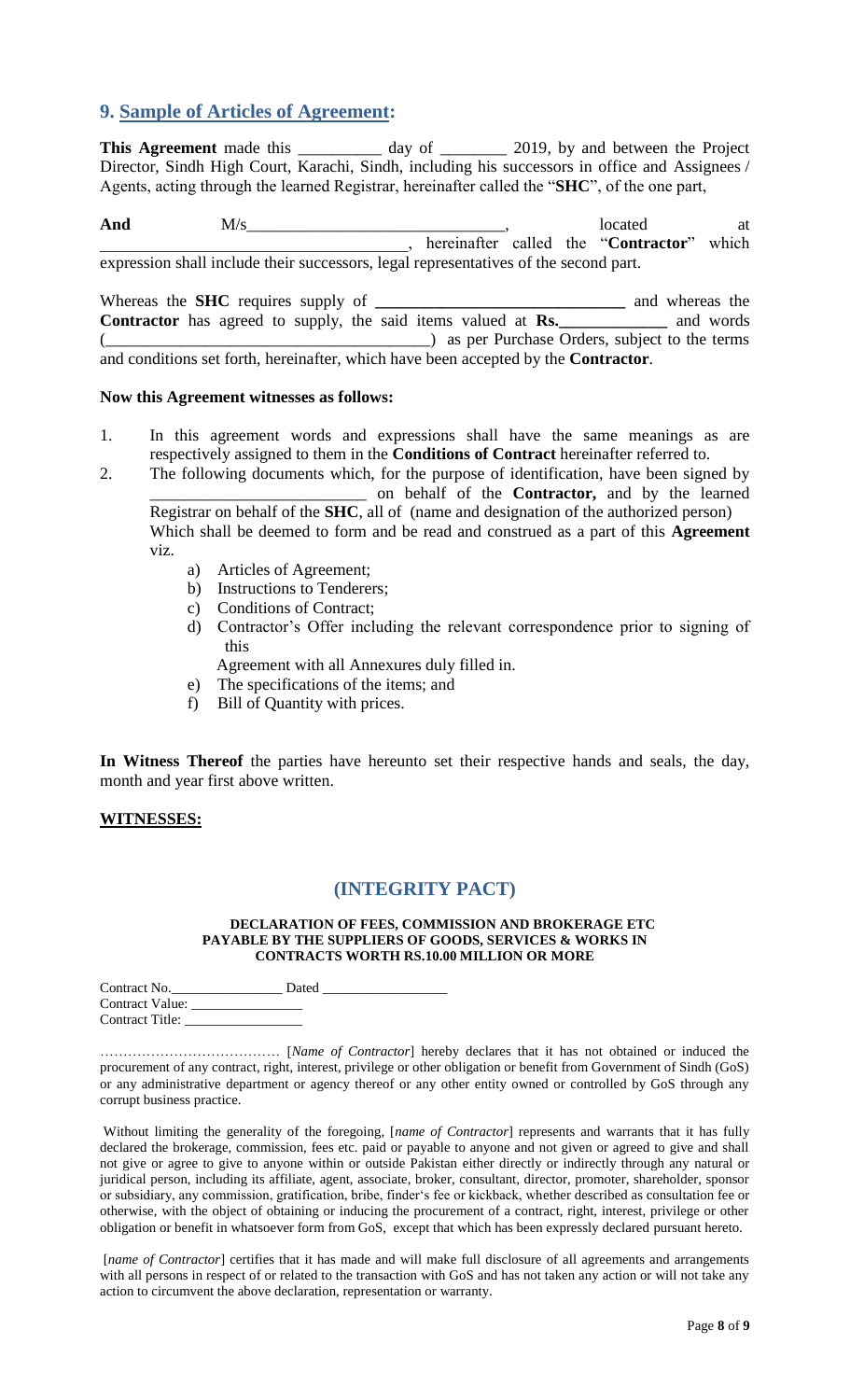### <span id="page-7-0"></span>**9. Sample of Articles of Agreement:**

This Agreement made this \_\_\_\_\_\_\_\_\_\_ day of \_\_\_\_\_\_\_\_ 2019, by and between the Project Director, Sindh High Court, Karachi, Sindh, including his successors in office and Assignees / Agents, acting through the learned Registrar, hereinafter called the "**SHC**", of the one part,

And  $M/s$  at  $M/s$  at  $M/s$  at  $M/s$  at  $M$ \_\_\_\_\_\_\_\_\_\_\_\_\_\_\_\_\_\_\_\_\_\_\_\_\_\_\_\_\_\_\_\_\_\_\_\_\_, hereinafter called the "**Contractor**" which expression shall include their successors, legal representatives of the second part.

Whereas the **SHC** requires supply of **\_\_\_\_\_\_\_\_\_\_\_\_\_\_\_\_\_\_\_\_\_\_\_\_\_\_\_\_\_\_** and whereas the **Contractor** has agreed to supply, the said items valued at **Rs.\_\_\_\_\_\_\_\_\_\_\_\_\_** and words (\_\_\_\_\_\_\_\_\_\_\_\_\_\_\_\_\_\_\_\_\_\_\_\_\_\_\_\_\_\_\_\_\_\_\_\_\_\_\_) as per Purchase Orders, subject to the terms and conditions set forth, hereinafter, which have been accepted by the **Contractor**.

#### **Now this Agreement witnesses as follows:**

- 1. In this agreement words and expressions shall have the same meanings as are respectively assigned to them in the **Conditions of Contract** hereinafter referred to.
- 2. The following documents which, for the purpose of identification, have been signed by \_\_\_\_\_\_\_\_\_\_\_\_\_\_\_\_\_\_\_\_\_\_\_\_\_\_ on behalf of the **Contractor,** and by the learned Registrar on behalf of the **SHC**, all of (name and designation of the authorized person) Which shall be deemed to form and be read and construed as a part of this **Agreement**  viz.
	- a) Articles of Agreement;
	- b) Instructions to Tenderers;
	- c) Conditions of Contract;
	- d) Contractor"s Offer including the relevant correspondence prior to signing of this

Agreement with all Annexures duly filled in.

- <span id="page-7-1"></span>e) The specifications of the items; and
- f) Bill of Quantity with prices.

**In Witness Thereof** the parties have hereunto set their respective hands and seals, the day, month and year first above written.

#### **WITNESSES:**

#### **(INTEGRITY PACT)**

#### **DECLARATION OF FEES, COMMISSION AND BROKERAGE ETC PAYABLE BY THE SUPPLIERS OF GOODS, SERVICES & WORKS IN CONTRACTS WORTH RS.10.00 MILLION OR MORE**

| Contract No.           | Dated |
|------------------------|-------|
| Contract Value:        |       |
| <b>Contract Title:</b> |       |

………………………………… [*Name of Contractor*] hereby declares that it has not obtained or induced the procurement of any contract, right, interest, privilege or other obligation or benefit from Government of Sindh (GoS) or any administrative department or agency thereof or any other entity owned or controlled by GoS through any corrupt business practice.

Without limiting the generality of the foregoing, [*name of Contractor*] represents and warrants that it has fully declared the brokerage, commission, fees etc. paid or payable to anyone and not given or agreed to give and shall not give or agree to give to anyone within or outside Pakistan either directly or indirectly through any natural or juridical person, including its affiliate, agent, associate, broker, consultant, director, promoter, shareholder, sponsor or subsidiary, any commission, gratification, bribe, finder"s fee or kickback, whether described as consultation fee or otherwise, with the object of obtaining or inducing the procurement of a contract, right, interest, privilege or other obligation or benefit in whatsoever form from GoS, except that which has been expressly declared pursuant hereto.

[*name of Contractor*] certifies that it has made and will make full disclosure of all agreements and arrangements with all persons in respect of or related to the transaction with GoS and has not taken any action or will not take any action to circumvent the above declaration, representation or warranty.